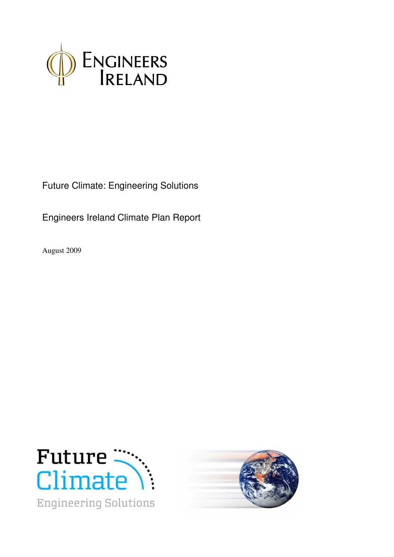

Future Climate: Engineering Solutions

Engineers Ireland Climate Plan Report

August 2009



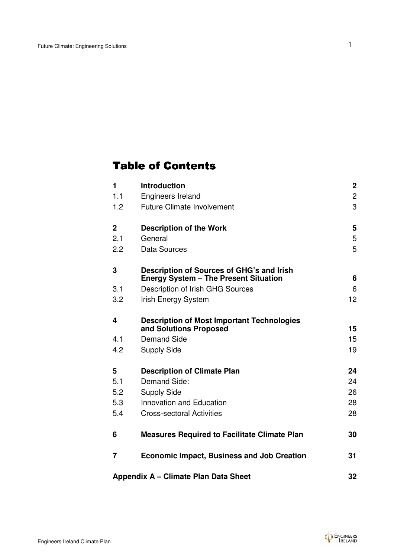# **Table of Contents**

| $\mathbf{1}$ | <b>Introduction</b>                                                                       | $\mathbf 2$    |
|--------------|-------------------------------------------------------------------------------------------|----------------|
| 1.1          | <b>Engineers Ireland</b>                                                                  | $\overline{2}$ |
| 1.2          | <b>Future Climate Involvement</b>                                                         | 3              |
| $\mathbf{2}$ | <b>Description of the Work</b>                                                            | 5              |
| 2.1          | General                                                                                   | 5              |
| 2.2          | Data Sources                                                                              | 5              |
| 3            | Description of Sources of GHG's and Irish<br><b>Energy System - The Present Situation</b> | 6              |
| 3.1          | Description of Irish GHG Sources                                                          | 6              |
| 3.2          | Irish Energy System                                                                       | 12             |
| 4            | <b>Description of Most Important Technologies</b><br>and Solutions Proposed               | 15             |
| 4.1          | <b>Demand Side</b>                                                                        | 15             |
| 4.2          | <b>Supply Side</b>                                                                        | 19             |
| 5            | <b>Description of Climate Plan</b>                                                        | 24             |
| 5.1          | Demand Side:                                                                              | 24             |
| 5.2          | <b>Supply Side</b>                                                                        | 26             |
| 5.3          | Innovation and Education                                                                  | 28             |
| 5.4          | <b>Cross-sectoral Activities</b>                                                          | 28             |
| 6            | <b>Measures Required to Facilitate Climate Plan</b>                                       | 30             |
| 7            | <b>Economic Impact, Business and Job Creation</b>                                         | 31             |
|              | Appendix A - Climate Plan Data Sheet                                                      | 32             |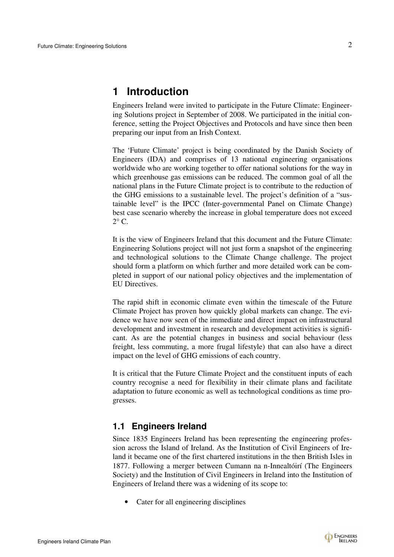# **1 Introduction**

Engineers Ireland were invited to participate in the Future Climate: Engineering Solutions project in September of 2008. We participated in the initial conference, setting the Project Objectives and Protocols and have since then been preparing our input from an Irish Context.

The 'Future Climate' project is being coordinated by the Danish Society of Engineers (IDA) and comprises of 13 national engineering organisations worldwide who are working together to offer national solutions for the way in which greenhouse gas emissions can be reduced. The common goal of all the national plans in the Future Climate project is to contribute to the reduction of the GHG emissions to a sustainable level. The project's definition of a "sustainable level" is the IPCC (Inter-governmental Panel on Climate Change) best case scenario whereby the increase in global temperature does not exceed  $2^{\circ}$  C.

It is the view of Engineers Ireland that this document and the Future Climate: Engineering Solutions project will not just form a snapshot of the engineering and technological solutions to the Climate Change challenge. The project should form a platform on which further and more detailed work can be completed in support of our national policy objectives and the implementation of EU Directives.

The rapid shift in economic climate even within the timescale of the Future Climate Project has proven how quickly global markets can change. The evidence we have now seen of the immediate and direct impact on infrastructural development and investment in research and development activities is significant. As are the potential changes in business and social behaviour (less freight, less commuting, a more frugal lifestyle) that can also have a direct impact on the level of GHG emissions of each country.

It is critical that the Future Climate Project and the constituent inputs of each country recognise a need for flexibility in their climate plans and facilitate adaptation to future economic as well as technological conditions as time progresses.

# **1.1 Engineers Ireland**

Since 1835 Engineers Ireland has been representing the engineering profession across the Island of Ireland. As the Institution of Civil Engineers of Ireland it became one of the first chartered institutions in the then British Isles in 1877. Following a merger between Cumann na n-Innealtóirí (The Engineers Society) and the Institution of Civil Engineers in Ireland into the Institution of Engineers of Ireland there was a widening of its scope to:

• Cater for all engineering disciplines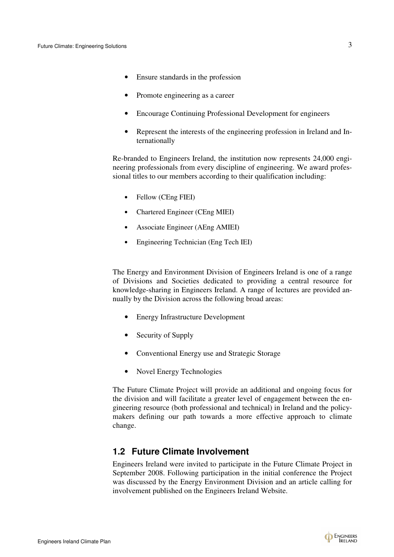- Ensure standards in the profession
- Promote engineering as a career
- Encourage Continuing Professional Development for engineers
- Represent the interests of the engineering profession in Ireland and Internationally

Re-branded to Engineers Ireland, the institution now represents 24,000 engineering professionals from every discipline of engineering. We award professional titles to our members according to their qualification including:

- Fellow (CEng FIEI)
- Chartered Engineer (CEng MIEI)
- Associate Engineer (AEng AMIEI)
- Engineering Technician (Eng Tech IEI)

The Energy and Environment Division of Engineers Ireland is one of a range of Divisions and Societies dedicated to providing a central resource for knowledge-sharing in Engineers Ireland. A range of lectures are provided annually by the Division across the following broad areas:

- Energy Infrastructure Development
- Security of Supply
- Conventional Energy use and Strategic Storage
- Novel Energy Technologies

The Future Climate Project will provide an additional and ongoing focus for the division and will facilitate a greater level of engagement between the engineering resource (both professional and technical) in Ireland and the policymakers defining our path towards a more effective approach to climate change.

### **1.2 Future Climate Involvement**

Engineers Ireland were invited to participate in the Future Climate Project in September 2008. Following participation in the initial conference the Project was discussed by the Energy Environment Division and an article calling for involvement published on the Engineers Ireland Website.

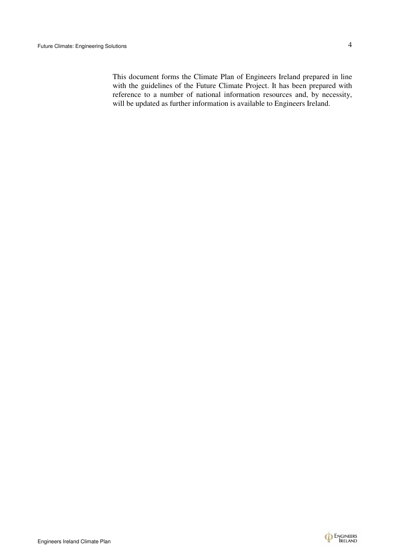This document forms the Climate Plan of Engineers Ireland prepared in line with the guidelines of the Future Climate Project. It has been prepared with reference to a number of national information resources and, by necessity, will be updated as further information is available to Engineers Ireland.

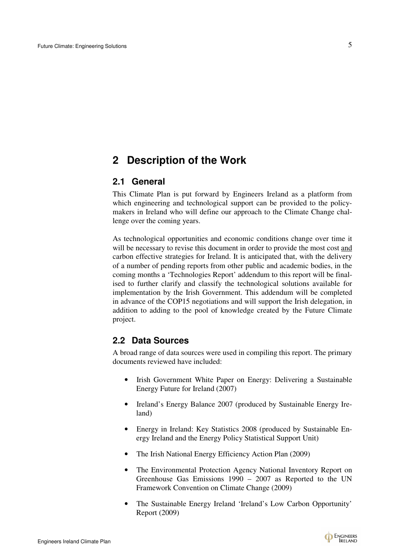# **2 Description of the Work**

### **2.1 General**

This Climate Plan is put forward by Engineers Ireland as a platform from which engineering and technological support can be provided to the policymakers in Ireland who will define our approach to the Climate Change challenge over the coming years.

As technological opportunities and economic conditions change over time it will be necessary to revise this document in order to provide the most cost and carbon effective strategies for Ireland. It is anticipated that, with the delivery of a number of pending reports from other public and academic bodies, in the coming months a 'Technologies Report' addendum to this report will be finalised to further clarify and classify the technological solutions available for implementation by the Irish Government. This addendum will be completed in advance of the COP15 negotiations and will support the Irish delegation, in addition to adding to the pool of knowledge created by the Future Climate project.

### **2.2 Data Sources**

A broad range of data sources were used in compiling this report. The primary documents reviewed have included:

- Irish Government White Paper on Energy: Delivering a Sustainable Energy Future for Ireland (2007)
- Ireland's Energy Balance 2007 (produced by Sustainable Energy Ireland)
- Energy in Ireland: Key Statistics 2008 (produced by Sustainable Energy Ireland and the Energy Policy Statistical Support Unit)
- The Irish National Energy Efficiency Action Plan (2009)
- The Environmental Protection Agency National Inventory Report on Greenhouse Gas Emissions 1990 – 2007 as Reported to the UN Framework Convention on Climate Change (2009)
- The Sustainable Energy Ireland 'Ireland's Low Carbon Opportunity' Report (2009)

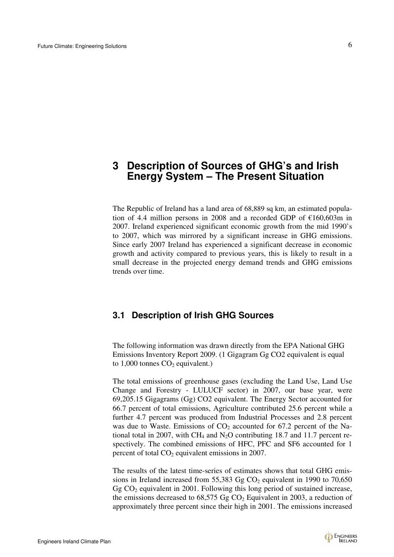# **3 Description of Sources of GHG's and Irish Energy System – The Present Situation**

The Republic of Ireland has a land area of 68,889 sq km, an estimated population of 4.4 million persons in 2008 and a recorded GDP of €160,603m in 2007. Ireland experienced significant economic growth from the mid 1990's to 2007, which was mirrored by a significant increase in GHG emissions. Since early 2007 Ireland has experienced a significant decrease in economic growth and activity compared to previous years, this is likely to result in a small decrease in the projected energy demand trends and GHG emissions trends over time.

# **3.1 Description of Irish GHG Sources**

The following information was drawn directly from the EPA National GHG Emissions Inventory Report 2009. (1 Gigagram Gg CO2 equivalent is equal to  $1,000$  tonnes  $CO<sub>2</sub>$  equivalent.)

The total emissions of greenhouse gases (excluding the Land Use, Land Use Change and Forestry - LULUCF sector) in 2007, our base year, were 69,205.15 Gigagrams (Gg) CO2 equivalent. The Energy Sector accounted for 66.7 percent of total emissions, Agriculture contributed 25.6 percent while a further 4.7 percent was produced from Industrial Processes and 2.8 percent was due to Waste. Emissions of  $CO<sub>2</sub>$  accounted for 67.2 percent of the National total in 2007, with CH<sub>4</sub> and N<sub>2</sub>O contributing 18.7 and 11.7 percent respectively. The combined emissions of HFC, PFC and SF6 accounted for 1 percent of total  $CO<sub>2</sub>$  equivalent emissions in 2007.

The results of the latest time-series of estimates shows that total GHG emissions in Ireland increased from 55,383 Gg  $CO<sub>2</sub>$  equivalent in 1990 to 70,650 Gg  $CO<sub>2</sub>$  equivalent in 2001. Following this long period of sustained increase, the emissions decreased to  $68,575$  Gg CO<sub>2</sub> Equivalent in 2003, a reduction of approximately three percent since their high in 2001. The emissions increased

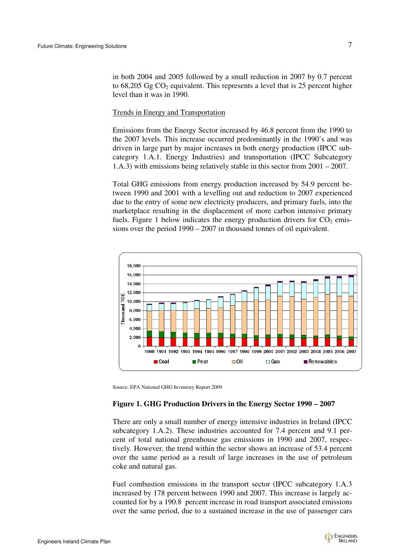in both 2004 and 2005 followed by a small reduction in 2007 by 0.7 percent to  $68,205$  Gg CO<sub>2</sub> equivalent. This represents a level that is 25 percent higher level than it was in 1990.

#### Trends in Energy and Transportation

Emissions from the Energy Sector increased by 46.8 percent from the 1990 to the 2007 levels. This increase occurred predominantly in the 1990's and was driven in large part by major increases in both energy production (IPCC subcategory 1.A.1. Energy Industries) and transportation (IPCC Subcategory 1.A.3) with emissions being relatively stable in this sector from 2001 – 2007.

Total GHG emissions from energy production increased by 54.9 percent between 1990 and 2001 with a levelling out and reduction to 2007 experienced due to the entry of some new electricity producers, and primary fuels, into the marketplace resulting in the displacement of more carbon intensive primary fuels. Figure 1 below indicates the energy production drivers for  $CO<sub>2</sub>$  emissions over the period 1990 – 2007 in thousand tonnes of oil equivalent.



Source: EPA National GHG Inventory Report 2009

#### **Figure 1. GHG Production Drivers in the Energy Sector 1990 – 2007**

There are only a small number of energy intensive industries in Ireland (IPCC subcategory 1.A.2). These industries accounted for 7.4 percent and 9.1 percent of total national greenhouse gas emissions in 1990 and 2007, respectively. However, the trend within the sector shows an increase of 53.4 percent over the same period as a result of large increases in the use of petroleum coke and natural gas.

Fuel combustion emissions in the transport sector (IPCC subcategory 1.A.3 increased by 178 percent between 1990 and 2007. This increase is largely accounted for by a 190.8 percent increase in road transport associated emissions over the same period, due to a sustained increase in the use of passenger cars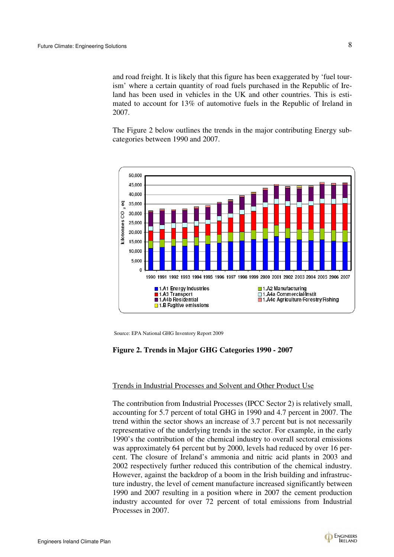and road freight. It is likely that this figure has been exaggerated by 'fuel tourism' where a certain quantity of road fuels purchased in the Republic of Ireland has been used in vehicles in the UK and other countries. This is estimated to account for 13% of automotive fuels in the Republic of Ireland in 2007.

The Figure 2 below outlines the trends in the major contributing Energy subcategories between 1990 and 2007.



Source: EPA National GHG Inventory Report 2009

#### **Figure 2. Trends in Major GHG Categories 1990 - 2007**

#### Trends in Industrial Processes and Solvent and Other Product Use

The contribution from Industrial Processes (IPCC Sector 2) is relatively small, accounting for 5.7 percent of total GHG in 1990 and 4.7 percent in 2007. The trend within the sector shows an increase of 3.7 percent but is not necessarily representative of the underlying trends in the sector. For example, in the early 1990's the contribution of the chemical industry to overall sectoral emissions was approximately 64 percent but by 2000, levels had reduced by over 16 percent. The closure of Ireland's ammonia and nitric acid plants in 2003 and 2002 respectively further reduced this contribution of the chemical industry. However, against the backdrop of a boom in the Irish building and infrastructure industry, the level of cement manufacture increased significantly between 1990 and 2007 resulting in a position where in 2007 the cement production industry accounted for over 72 percent of total emissions from Industrial Processes in 2007.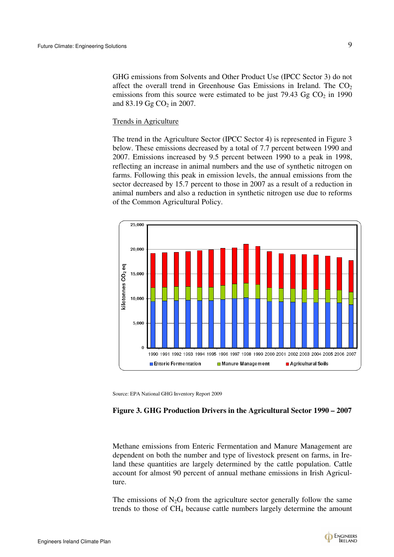GHG emissions from Solvents and Other Product Use (IPCC Sector 3) do not affect the overall trend in Greenhouse Gas Emissions in Ireland. The  $CO<sub>2</sub>$ emissions from this source were estimated to be just 79.43  $GgCO<sub>2</sub>$  in 1990 and  $83.19$  Gg CO<sub>2</sub> in 2007.

#### Trends in Agriculture

The trend in the Agriculture Sector (IPCC Sector 4) is represented in Figure 3 below. These emissions decreased by a total of 7.7 percent between 1990 and 2007. Emissions increased by 9.5 percent between 1990 to a peak in 1998, reflecting an increase in animal numbers and the use of synthetic nitrogen on farms. Following this peak in emission levels, the annual emissions from the sector decreased by 15.7 percent to those in 2007 as a result of a reduction in animal numbers and also a reduction in synthetic nitrogen use due to reforms of the Common Agricultural Policy.



Source: EPA National GHG Inventory Report 2009

#### **Figure 3. GHG Production Drivers in the Agricultural Sector 1990 – 2007**

Methane emissions from Enteric Fermentation and Manure Management are dependent on both the number and type of livestock present on farms, in Ireland these quantities are largely determined by the cattle population. Cattle account for almost 90 percent of annual methane emissions in Irish Agriculture.

The emissions of  $N_2O$  from the agriculture sector generally follow the same trends to those of CH4 because cattle numbers largely determine the amount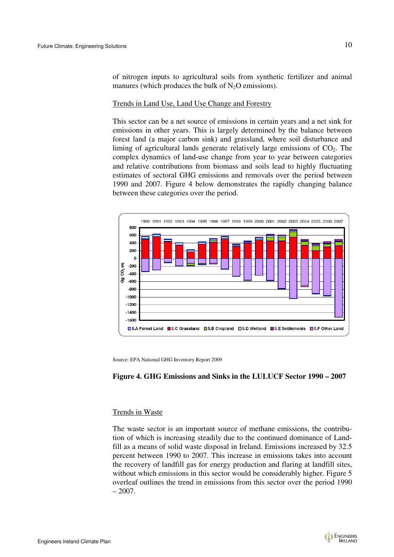of nitrogen inputs to agricultural soils from synthetic fertilizer and animal manures (which produces the bulk of  $N_2O$  emissions).

#### Trends in Land Use, Land Use Change and Forestry

This sector can be a net source of emissions in certain years and a net sink for emissions in other years. This is largely determined by the balance between forest land (a major carbon sink) and grassland, where soil disturbance and liming of agricultural lands generate relatively large emissions of  $CO<sub>2</sub>$ . The complex dynamics of land-use change from year to year between categories and relative contributions from biomass and soils lead to highly fluctuating estimates of sectoral GHG emissions and removals over the period between 1990 and 2007. Figure 4 below demonstrates the rapidly changing balance between these categories over the period.



Source: EPA National GHG Inventory Report 2009

#### **Figure 4. GHG Emissions and Sinks in the LULUCF Sector 1990 – 2007**

#### Trends in Waste

The waste sector is an important source of methane emissions, the contribution of which is increasing steadily due to the continued dominance of Landfill as a means of solid waste disposal in Ireland. Emissions increased by 32.5 percent between 1990 to 2007. This increase in emissions takes into account the recovery of landfill gas for energy production and flaring at landfill sites, without which emissions in this sector would be considerably higher. Figure 5 overleaf outlines the trend in emissions from this sector over the period 1990  $-2007.$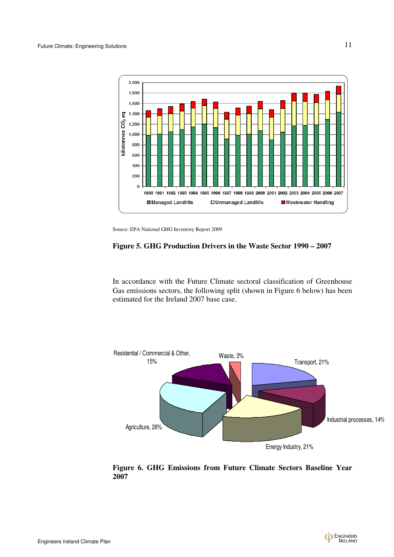

Source: EPA National GHG Inventory Report 2009

## **Figure 5. GHG Production Drivers in the Waste Sector 1990 – 2007**

In accordance with the Future Climate sectoral classification of Greenhouse Gas emissions sectors, the following split (shown in Figure 6 below) has been estimated for the Ireland 2007 base case.



**Figure 6. GHG Emissions from Future Climate Sectors Baseline Year 2007**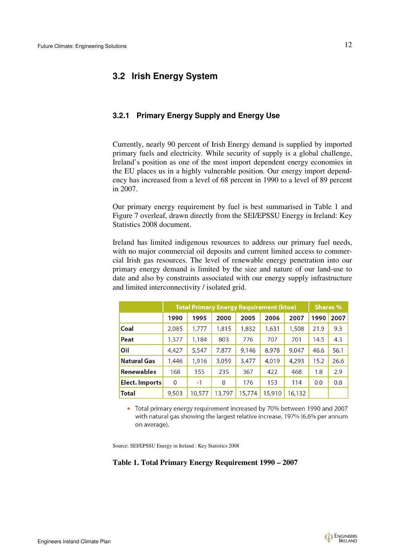## **3.2 Irish Energy System**

#### **3.2.1 Primary Energy Supply and Energy Use**

Currently, nearly 90 percent of Irish Energy demand is supplied by imported primary fuels and electricity. While security of supply is a global challenge, Ireland's position as one of the most import dependent energy economies in the EU places us in a highly vulnerable position. Our energy import dependency has increased from a level of 68 percent in 1990 to a level of 89 percent in 2007.

Our primary energy requirement by fuel is best summarised in Table 1 and Figure 7 overleaf, drawn directly from the SEI/EPSSU Energy in Ireland: Key Statistics 2008 document.

Ireland has limited indigenous resources to address our primary fuel needs, with no major commercial oil deposits and current limited access to commercial Irish gas resources. The level of renewable energy penetration into our primary energy demand is limited by the size and nature of our land-use to date and also by constraints associated with our energy supply infrastructure and limited interconnectivity / isolated grid.

|                    | <b>Total Primary Energy Requirement (ktoe)</b> |        |        |        |        |        | <b>Shares %</b> |      |
|--------------------|------------------------------------------------|--------|--------|--------|--------|--------|-----------------|------|
|                    | 1990                                           | 1995   | 2000   | 2005   | 2006   | 2007   | 1990            | 2007 |
| Coal               | 2,085                                          | 1,777  | 1,815  | 1,832  | 1,631  | 1,508  | 21.9            | 9.3  |
| Peat               | 1,377                                          | 1,184  | 803    | 776    | 707    | 701    | 14.5            | 4.3  |
| Oil                | 4,427                                          | 5,547  | 7,877  | 9,146  | 8,978  | 9,047  | 46.6            | 56.1 |
| <b>Natural Gas</b> | 1,446                                          | 1,916  | 3,059  | 3,477  | 4,019  | 4,293  | 15.2            | 26.6 |
| Renewables         | 168                                            | 155    | 235    | 367    | 422    | 468    | 1.8             | 2.9  |
| Elect. Imports     | 0                                              | $-1$   | 8      | 176    | 153    | 114    | 0.0             | 0.8  |
| <b>Total</b>       | 9,503                                          | 10,577 | 13,797 | 15,774 | 15,910 | 16,132 |                 |      |

• Total primary energy requirement increased by 70% between 1990 and 2007 with natural gas showing the largest relative increase, 197% (6.6% per annum on average).

Source: SEI/EPSSU Energy in Ireland : Key Statistics 2008

#### **Table 1. Total Primary Energy Requirement 1990 – 2007**

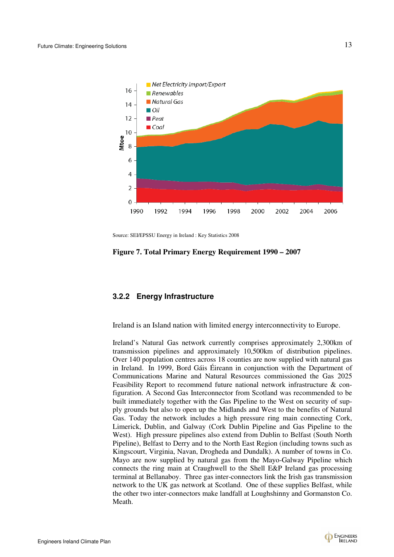

Source: SEI/EPSSU Energy in Ireland : Key Statistics 2008

**Figure 7. Total Primary Energy Requirement 1990 – 2007** 

#### **3.2.2 Energy Infrastructure**

Ireland is an Island nation with limited energy interconnectivity to Europe.

Ireland's Natural Gas network currently comprises approximately 2,300km of transmission pipelines and approximately 10,500km of distribution pipelines. Over 140 population centres across 18 counties are now supplied with natural gas in Ireland. In 1999, Bord Gáis Éireann in conjunction with the Department of Communications Marine and Natural Resources commissioned the Gas 2025 Feasibility Report to recommend future national network infrastructure & configuration. A Second Gas Interconnector from Scotland was recommended to be built immediately together with the Gas Pipeline to the West on security of supply grounds but also to open up the Midlands and West to the benefits of Natural Gas. Today the network includes a high pressure ring main connecting Cork, Limerick, Dublin, and Galway (Cork Dublin Pipeline and Gas Pipeline to the West). High pressure pipelines also extend from Dublin to Belfast (South North Pipeline), Belfast to Derry and to the North East Region (including towns such as Kingscourt, Virginia, Navan, Drogheda and Dundalk). A number of towns in Co. Mayo are now supplied by natural gas from the Mayo-Galway Pipeline which connects the ring main at Craughwell to the Shell E&P Ireland gas processing terminal at Bellanaboy. Three gas inter-connectors link the Irish gas transmission network to the UK gas network at Scotland. One of these supplies Belfast, while the other two inter-connectors make landfall at Loughshinny and Gormanston Co. Meath.

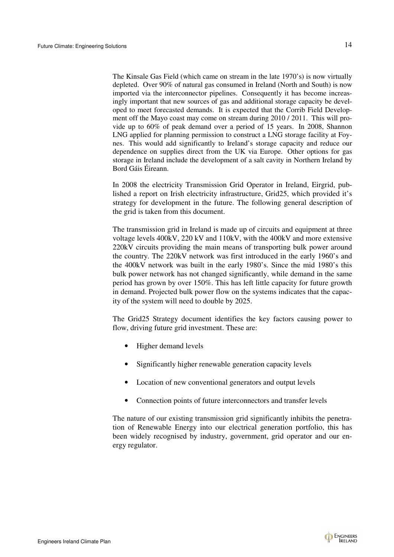The Kinsale Gas Field (which came on stream in the late 1970's) is now virtually depleted. Over 90% of natural gas consumed in Ireland (North and South) is now imported via the interconnector pipelines. Consequently it has become increasingly important that new sources of gas and additional storage capacity be developed to meet forecasted demands. It is expected that the Corrib Field Development off the Mayo coast may come on stream during 2010 / 2011. This will provide up to 60% of peak demand over a period of 15 years. In 2008, Shannon LNG applied for planning permission to construct a LNG storage facility at Foynes. This would add significantly to Ireland's storage capacity and reduce our dependence on supplies direct from the UK via Europe. Other options for gas storage in Ireland include the development of a salt cavity in Northern Ireland by Bord Gáis Éireann.

In 2008 the electricity Transmission Grid Operator in Ireland, Eirgrid, published a report on Irish electricity infrastructure, Grid25, which provided it's strategy for development in the future. The following general description of the grid is taken from this document.

The transmission grid in Ireland is made up of circuits and equipment at three voltage levels 400kV, 220 kV and 110kV, with the 400kV and more extensive 220kV circuits providing the main means of transporting bulk power around the country. The 220kV network was first introduced in the early 1960's and the 400kV network was built in the early 1980's. Since the mid 1980's this bulk power network has not changed significantly, while demand in the same period has grown by over 150%. This has left little capacity for future growth in demand. Projected bulk power flow on the systems indicates that the capacity of the system will need to double by 2025.

The Grid25 Strategy document identifies the key factors causing power to flow, driving future grid investment. These are:

- Higher demand levels
- Significantly higher renewable generation capacity levels
- Location of new conventional generators and output levels
- Connection points of future interconnectors and transfer levels

The nature of our existing transmission grid significantly inhibits the penetration of Renewable Energy into our electrical generation portfolio, this has been widely recognised by industry, government, grid operator and our energy regulator.

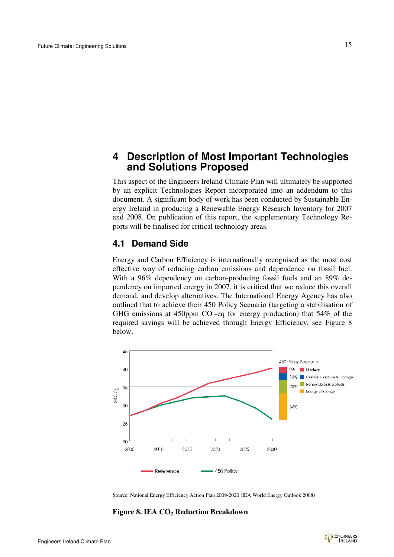# **4 Description of Most Important Technologies and Solutions Proposed**

This aspect of the Engineers Ireland Climate Plan will ultimately be supported by an explicit Technologies Report incorporated into an addendum to this document. A significant body of work has been conducted by Sustainable Energy Ireland in producing a Renewable Energy Research Inventory for 2007 and 2008. On publication of this report, the supplementary Technology Reports will be finalised for critical technology areas.

### **4.1 Demand Side**

Energy and Carbon Efficiency is internationally recognised as the most cost effective way of reducing carbon emissions and dependence on fossil fuel. With a 96% dependency on carbon-producing fossil fuels and an 89% dependency on imported energy in 2007, it is critical that we reduce this overall demand, and develop alternatives. The International Energy Agency has also outlined that to achieve their 450 Policy Scenario (targeting a stabilisation of GHG emissions at 450ppm  $CO_2$ -eq for energy production) that 54% of the required savings will be achieved through Energy Efficiency, see Figure 8 below.



Source: National Energy Efficiency Action Plan 2009-2020 (IEA World Energy Outlook 2008)

**Figure 8. IEA CO2 Reduction Breakdown** 

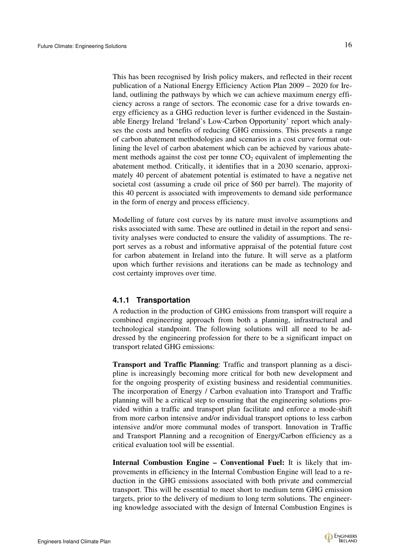This has been recognised by Irish policy makers, and reflected in their recent publication of a National Energy Efficiency Action Plan 2009 – 2020 for Ireland, outlining the pathways by which we can achieve maximum energy efficiency across a range of sectors. The economic case for a drive towards energy efficiency as a GHG reduction lever is further evidenced in the Sustainable Energy Ireland 'Ireland's Low-Carbon Opportunity' report which analyses the costs and benefits of reducing GHG emissions. This presents a range of carbon abatement methodologies and scenarios in a cost curve format outlining the level of carbon abatement which can be achieved by various abatement methods against the cost per tonne  $CO<sub>2</sub>$  equivalent of implementing the abatement method. Critically, it identifies that in a 2030 scenario, approximately 40 percent of abatement potential is estimated to have a negative net societal cost (assuming a crude oil price of \$60 per barrel). The majority of this 40 percent is associated with improvements to demand side performance in the form of energy and process efficiency.

Modelling of future cost curves by its nature must involve assumptions and risks associated with same. These are outlined in detail in the report and sensitivity analyses were conducted to ensure the validity of assumptions. The report serves as a robust and informative appraisal of the potential future cost for carbon abatement in Ireland into the future. It will serve as a platform upon which further revisions and iterations can be made as technology and cost certainty improves over time.

#### **4.1.1 Transportation**

A reduction in the production of GHG emissions from transport will require a combined engineering approach from both a planning, infrastructural and technological standpoint. The following solutions will all need to be addressed by the engineering profession for there to be a significant impact on transport related GHG emissions:

**Transport and Traffic Planning**: Traffic and transport planning as a discipline is increasingly becoming more critical for both new development and for the ongoing prosperity of existing business and residential communities. The incorporation of Energy / Carbon evaluation into Transport and Traffic planning will be a critical step to ensuring that the engineering solutions provided within a traffic and transport plan facilitate and enforce a mode-shift from more carbon intensive and/or individual transport options to less carbon intensive and/or more communal modes of transport. Innovation in Traffic and Transport Planning and a recognition of Energy/Carbon efficiency as a critical evaluation tool will be essential.

**Internal Combustion Engine – Conventional Fuel:** It is likely that improvements in efficiency in the Internal Combustion Engine will lead to a reduction in the GHG emissions associated with both private and commercial transport. This will be essential to meet short to medium term GHG emission targets, prior to the delivery of medium to long term solutions. The engineering knowledge associated with the design of Internal Combustion Engines is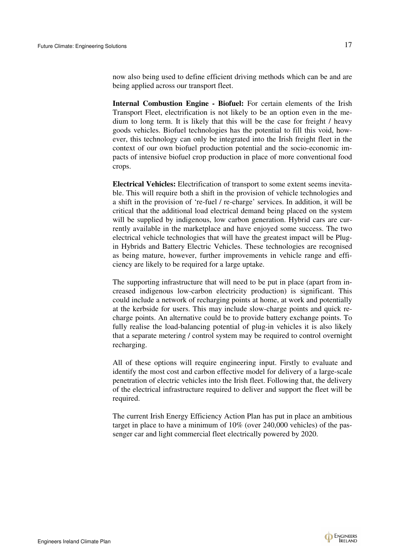now also being used to define efficient driving methods which can be and are being applied across our transport fleet.

**Internal Combustion Engine - Biofuel:** For certain elements of the Irish Transport Fleet, electrification is not likely to be an option even in the medium to long term. It is likely that this will be the case for freight / heavy goods vehicles. Biofuel technologies has the potential to fill this void, however, this technology can only be integrated into the Irish freight fleet in the context of our own biofuel production potential and the socio-economic impacts of intensive biofuel crop production in place of more conventional food crops.

**Electrical Vehicles:** Electrification of transport to some extent seems inevitable. This will require both a shift in the provision of vehicle technologies and a shift in the provision of 're-fuel / re-charge' services. In addition, it will be critical that the additional load electrical demand being placed on the system will be supplied by indigenous, low carbon generation. Hybrid cars are currently available in the marketplace and have enjoyed some success. The two electrical vehicle technologies that will have the greatest impact will be Plugin Hybrids and Battery Electric Vehicles. These technologies are recognised as being mature, however, further improvements in vehicle range and efficiency are likely to be required for a large uptake.

The supporting infrastructure that will need to be put in place (apart from increased indigenous low-carbon electricity production) is significant. This could include a network of recharging points at home, at work and potentially at the kerbside for users. This may include slow-charge points and quick recharge points. An alternative could be to provide battery exchange points. To fully realise the load-balancing potential of plug-in vehicles it is also likely that a separate metering / control system may be required to control overnight recharging.

All of these options will require engineering input. Firstly to evaluate and identify the most cost and carbon effective model for delivery of a large-scale penetration of electric vehicles into the Irish fleet. Following that, the delivery of the electrical infrastructure required to deliver and support the fleet will be required.

The current Irish Energy Efficiency Action Plan has put in place an ambitious target in place to have a minimum of 10% (over 240,000 vehicles) of the passenger car and light commercial fleet electrically powered by 2020.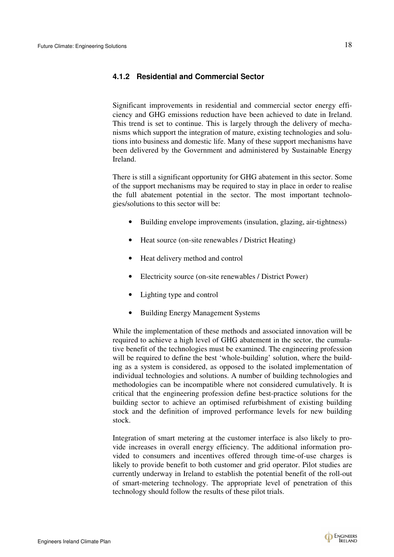#### **4.1.2 Residential and Commercial Sector**

Significant improvements in residential and commercial sector energy efficiency and GHG emissions reduction have been achieved to date in Ireland. This trend is set to continue. This is largely through the delivery of mechanisms which support the integration of mature, existing technologies and solutions into business and domestic life. Many of these support mechanisms have been delivered by the Government and administered by Sustainable Energy Ireland.

There is still a significant opportunity for GHG abatement in this sector. Some of the support mechanisms may be required to stay in place in order to realise the full abatement potential in the sector. The most important technologies/solutions to this sector will be:

- Building envelope improvements (insulation, glazing, air-tightness)
- Heat source (on-site renewables / District Heating)
- Heat delivery method and control
- Electricity source (on-site renewables / District Power)
- Lighting type and control
- Building Energy Management Systems

While the implementation of these methods and associated innovation will be required to achieve a high level of GHG abatement in the sector, the cumulative benefit of the technologies must be examined. The engineering profession will be required to define the best 'whole-building' solution, where the building as a system is considered, as opposed to the isolated implementation of individual technologies and solutions. A number of building technologies and methodologies can be incompatible where not considered cumulatively. It is critical that the engineering profession define best-practice solutions for the building sector to achieve an optimised refurbishment of existing building stock and the definition of improved performance levels for new building stock.

Integration of smart metering at the customer interface is also likely to provide increases in overall energy efficiency. The additional information provided to consumers and incentives offered through time-of-use charges is likely to provide benefit to both customer and grid operator. Pilot studies are currently underway in Ireland to establish the potential benefit of the roll-out of smart-metering technology. The appropriate level of penetration of this technology should follow the results of these pilot trials.

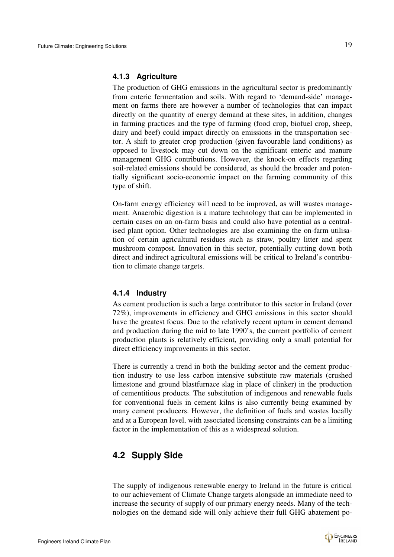The production of GHG emissions in the agricultural sector is predominantly from enteric fermentation and soils. With regard to 'demand-side' management on farms there are however a number of technologies that can impact directly on the quantity of energy demand at these sites, in addition, changes in farming practices and the type of farming (food crop, biofuel crop, sheep, dairy and beef) could impact directly on emissions in the transportation sector. A shift to greater crop production (given favourable land conditions) as opposed to livestock may cut down on the significant enteric and manure management GHG contributions. However, the knock-on effects regarding soil-related emissions should be considered, as should the broader and potentially significant socio-economic impact on the farming community of this type of shift.

On-farm energy efficiency will need to be improved, as will wastes management. Anaerobic digestion is a mature technology that can be implemented in certain cases on an on-farm basis and could also have potential as a centralised plant option. Other technologies are also examining the on-farm utilisation of certain agricultural residues such as straw, poultry litter and spent mushroom compost. Innovation in this sector, potentially cutting down both direct and indirect agricultural emissions will be critical to Ireland's contribution to climate change targets.

#### **4.1.4 Industry**

As cement production is such a large contributor to this sector in Ireland (over 72%), improvements in efficiency and GHG emissions in this sector should have the greatest focus. Due to the relatively recent upturn in cement demand and production during the mid to late 1990's, the current portfolio of cement production plants is relatively efficient, providing only a small potential for direct efficiency improvements in this sector.

There is currently a trend in both the building sector and the cement production industry to use less carbon intensive substitute raw materials (crushed limestone and ground blastfurnace slag in place of clinker) in the production of cementitious products. The substitution of indigenous and renewable fuels for conventional fuels in cement kilns is also currently being examined by many cement producers. However, the definition of fuels and wastes locally and at a European level, with associated licensing constraints can be a limiting factor in the implementation of this as a widespread solution.

# **4.2 Supply Side**

The supply of indigenous renewable energy to Ireland in the future is critical to our achievement of Climate Change targets alongside an immediate need to increase the security of supply of our primary energy needs. Many of the technologies on the demand side will only achieve their full GHG abatement po-

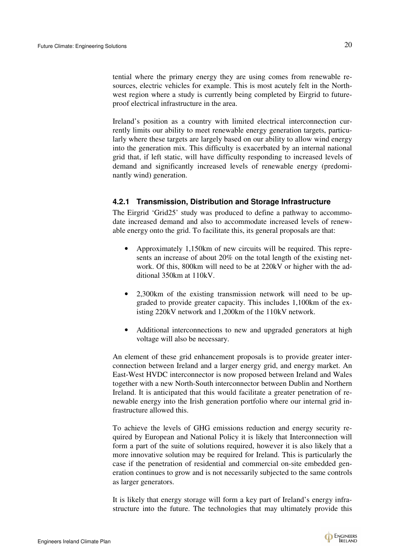tential where the primary energy they are using comes from renewable resources, electric vehicles for example. This is most acutely felt in the Northwest region where a study is currently being completed by Eirgrid to futureproof electrical infrastructure in the area.

Ireland's position as a country with limited electrical interconnection currently limits our ability to meet renewable energy generation targets, particularly where these targets are largely based on our ability to allow wind energy into the generation mix. This difficulty is exacerbated by an internal national grid that, if left static, will have difficulty responding to increased levels of demand and significantly increased levels of renewable energy (predominantly wind) generation.

### **4.2.1 Transmission, Distribution and Storage Infrastructure**

The Eirgrid 'Grid25' study was produced to define a pathway to accommodate increased demand and also to accommodate increased levels of renewable energy onto the grid. To facilitate this, its general proposals are that:

- Approximately 1,150km of new circuits will be required. This represents an increase of about 20% on the total length of the existing network. Of this, 800km will need to be at 220kV or higher with the additional 350km at 110kV.
- 2,300km of the existing transmission network will need to be upgraded to provide greater capacity. This includes 1,100km of the existing 220kV network and 1,200km of the 110kV network.
- Additional interconnections to new and upgraded generators at high voltage will also be necessary.

An element of these grid enhancement proposals is to provide greater interconnection between Ireland and a larger energy grid, and energy market. An East-West HVDC interconnector is now proposed between Ireland and Wales together with a new North-South interconnector between Dublin and Northern Ireland. It is anticipated that this would facilitate a greater penetration of renewable energy into the Irish generation portfolio where our internal grid infrastructure allowed this.

To achieve the levels of GHG emissions reduction and energy security required by European and National Policy it is likely that Interconnection will form a part of the suite of solutions required, however it is also likely that a more innovative solution may be required for Ireland. This is particularly the case if the penetration of residential and commercial on-site embedded generation continues to grow and is not necessarily subjected to the same controls as larger generators.

It is likely that energy storage will form a key part of Ireland's energy infrastructure into the future. The technologies that may ultimately provide this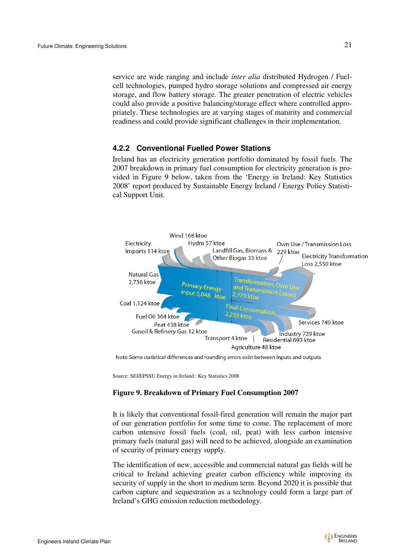service are wide ranging and include *inter alia* distributed Hydrogen / Fuelcell technologies, pumped hydro storage solutions and compressed air energy storage, and flow battery storage. The greater penetration of electric vehicles could also provide a positive balancing/storage effect where controlled appropriately. These technologies are at varying stages of maturity and commercial readiness and could provide significant challenges in their implementation.

#### **4.2.2 Conventional Fuelled Power Stations**

Ireland has an electricity generation portfolio dominated by fossil fuels. The 2007 breakdown in primary fuel consumption for electricity generation is provided in Figure 9 below, taken from the 'Energy in Ireland: Key Statistics 2008' report produced by Sustainable Energy Ireland / Energy Policy Statistical Support Unit.



Note: Some statistical differences and rounding errors exist between inputs and outputs

Source: SEI/EPSSU Energy in Ireland : Key Statistics 2008

#### **Figure 9. Breakdown of Primary Fuel Consumption 2007**

It is likely that conventional fossil-fired generation will remain the major part of our generation portfolio for some time to come. The replacement of more carbon intensive fossil fuels (coal, oil, peat) with less carbon intensive primary fuels (natural gas) will need to be achieved, alongside an examination of security of primary energy supply.

The identification of new, accessible and commercial natural gas fields will be critical to Ireland achieving greater carbon efficiency while improving its security of supply in the short to medium term. Beyond 2020 it is possible that carbon capture and sequestration as a technology could form a large part of Ireland's GHG emission reduction methodology.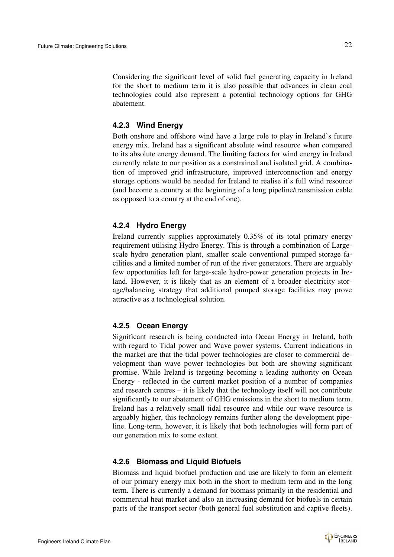Considering the significant level of solid fuel generating capacity in Ireland for the short to medium term it is also possible that advances in clean coal technologies could also represent a potential technology options for GHG abatement.

## **4.2.3 Wind Energy**

Both onshore and offshore wind have a large role to play in Ireland's future energy mix. Ireland has a significant absolute wind resource when compared to its absolute energy demand. The limiting factors for wind energy in Ireland currently relate to our position as a constrained and isolated grid. A combination of improved grid infrastructure, improved interconnection and energy storage options would be needed for Ireland to realise it's full wind resource (and become a country at the beginning of a long pipeline/transmission cable as opposed to a country at the end of one).

## **4.2.4 Hydro Energy**

Ireland currently supplies approximately 0.35% of its total primary energy requirement utilising Hydro Energy. This is through a combination of Largescale hydro generation plant, smaller scale conventional pumped storage facilities and a limited number of run of the river generators. There are arguably few opportunities left for large-scale hydro-power generation projects in Ireland. However, it is likely that as an element of a broader electricity storage/balancing strategy that additional pumped storage facilities may prove attractive as a technological solution.

# **4.2.5 Ocean Energy**

Significant research is being conducted into Ocean Energy in Ireland, both with regard to Tidal power and Wave power systems. Current indications in the market are that the tidal power technologies are closer to commercial development than wave power technologies but both are showing significant promise. While Ireland is targeting becoming a leading authority on Ocean Energy - reflected in the current market position of a number of companies and research centres – it is likely that the technology itself will not contribute significantly to our abatement of GHG emissions in the short to medium term. Ireland has a relatively small tidal resource and while our wave resource is arguably higher, this technology remains further along the development pipeline. Long-term, however, it is likely that both technologies will form part of our generation mix to some extent.

### **4.2.6 Biomass and Liquid Biofuels**

Biomass and liquid biofuel production and use are likely to form an element of our primary energy mix both in the short to medium term and in the long term. There is currently a demand for biomass primarily in the residential and commercial heat market and also an increasing demand for biofuels in certain parts of the transport sector (both general fuel substitution and captive fleets).

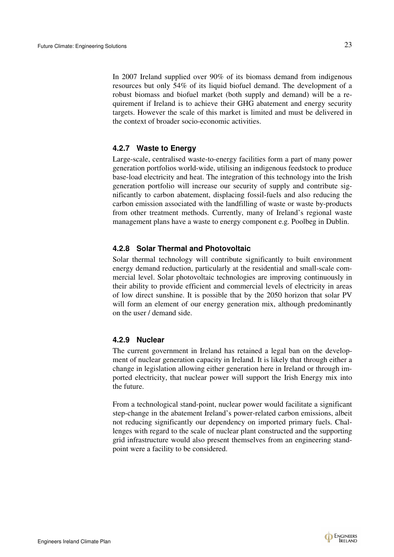In 2007 Ireland supplied over 90% of its biomass demand from indigenous resources but only 54% of its liquid biofuel demand. The development of a robust biomass and biofuel market (both supply and demand) will be a requirement if Ireland is to achieve their GHG abatement and energy security targets. However the scale of this market is limited and must be delivered in the context of broader socio-economic activities.

#### **4.2.7 Waste to Energy**

Large-scale, centralised waste-to-energy facilities form a part of many power generation portfolios world-wide, utilising an indigenous feedstock to produce base-load electricity and heat. The integration of this technology into the Irish generation portfolio will increase our security of supply and contribute significantly to carbon abatement, displacing fossil-fuels and also reducing the carbon emission associated with the landfilling of waste or waste by-products from other treatment methods. Currently, many of Ireland's regional waste management plans have a waste to energy component e.g. Poolbeg in Dublin.

#### **4.2.8 Solar Thermal and Photovoltaic**

Solar thermal technology will contribute significantly to built environment energy demand reduction, particularly at the residential and small-scale commercial level. Solar photovoltaic technologies are improving continuously in their ability to provide efficient and commercial levels of electricity in areas of low direct sunshine. It is possible that by the 2050 horizon that solar PV will form an element of our energy generation mix, although predominantly on the user / demand side.

#### **4.2.9 Nuclear**

The current government in Ireland has retained a legal ban on the development of nuclear generation capacity in Ireland. It is likely that through either a change in legislation allowing either generation here in Ireland or through imported electricity, that nuclear power will support the Irish Energy mix into the future.

From a technological stand-point, nuclear power would facilitate a significant step-change in the abatement Ireland's power-related carbon emissions, albeit not reducing significantly our dependency on imported primary fuels. Challenges with regard to the scale of nuclear plant constructed and the supporting grid infrastructure would also present themselves from an engineering standpoint were a facility to be considered.

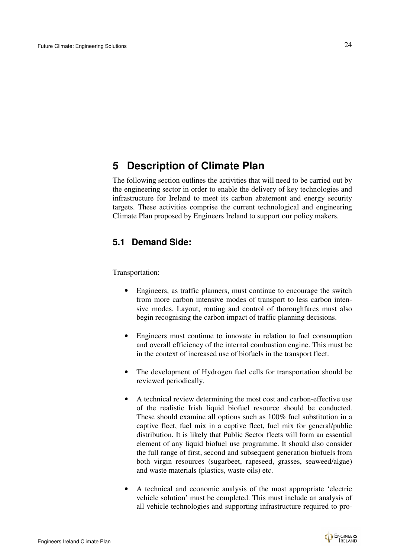# **5 Description of Climate Plan**

The following section outlines the activities that will need to be carried out by the engineering sector in order to enable the delivery of key technologies and infrastructure for Ireland to meet its carbon abatement and energy security targets. These activities comprise the current technological and engineering Climate Plan proposed by Engineers Ireland to support our policy makers.

# **5.1 Demand Side:**

Transportation:

- Engineers, as traffic planners, must continue to encourage the switch from more carbon intensive modes of transport to less carbon intensive modes. Layout, routing and control of thoroughfares must also begin recognising the carbon impact of traffic planning decisions.
- Engineers must continue to innovate in relation to fuel consumption and overall efficiency of the internal combustion engine. This must be in the context of increased use of biofuels in the transport fleet.
- The development of Hydrogen fuel cells for transportation should be reviewed periodically.
- A technical review determining the most cost and carbon-effective use of the realistic Irish liquid biofuel resource should be conducted. These should examine all options such as 100% fuel substitution in a captive fleet, fuel mix in a captive fleet, fuel mix for general/public distribution. It is likely that Public Sector fleets will form an essential element of any liquid biofuel use programme. It should also consider the full range of first, second and subsequent generation biofuels from both virgin resources (sugarbeet, rapeseed, grasses, seaweed/algae) and waste materials (plastics, waste oils) etc.
- A technical and economic analysis of the most appropriate 'electric vehicle solution' must be completed. This must include an analysis of all vehicle technologies and supporting infrastructure required to pro-

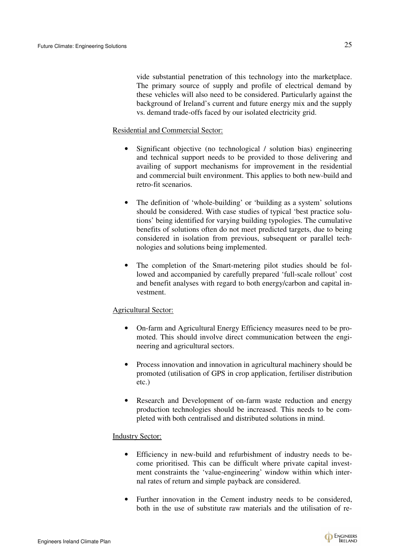vide substantial penetration of this technology into the marketplace. The primary source of supply and profile of electrical demand by these vehicles will also need to be considered. Particularly against the background of Ireland's current and future energy mix and the supply vs. demand trade-offs faced by our isolated electricity grid.

#### Residential and Commercial Sector:

- Significant objective (no technological / solution bias) engineering and technical support needs to be provided to those delivering and availing of support mechanisms for improvement in the residential and commercial built environment. This applies to both new-build and retro-fit scenarios.
- The definition of 'whole-building' or 'building as a system' solutions should be considered. With case studies of typical 'best practice solutions' being identified for varying building typologies. The cumulative benefits of solutions often do not meet predicted targets, due to being considered in isolation from previous, subsequent or parallel technologies and solutions being implemented.
- The completion of the Smart-metering pilot studies should be followed and accompanied by carefully prepared 'full-scale rollout' cost and benefit analyses with regard to both energy/carbon and capital investment.

### Agricultural Sector:

- On-farm and Agricultural Energy Efficiency measures need to be promoted. This should involve direct communication between the engineering and agricultural sectors.
- Process innovation and innovation in agricultural machinery should be promoted (utilisation of GPS in crop application, fertiliser distribution etc.)
- Research and Development of on-farm waste reduction and energy production technologies should be increased. This needs to be completed with both centralised and distributed solutions in mind.

#### Industry Sector:

- Efficiency in new-build and refurbishment of industry needs to become prioritised. This can be difficult where private capital investment constraints the 'value-engineering' window within which internal rates of return and simple payback are considered.
- Further innovation in the Cement industry needs to be considered, both in the use of substitute raw materials and the utilisation of re-

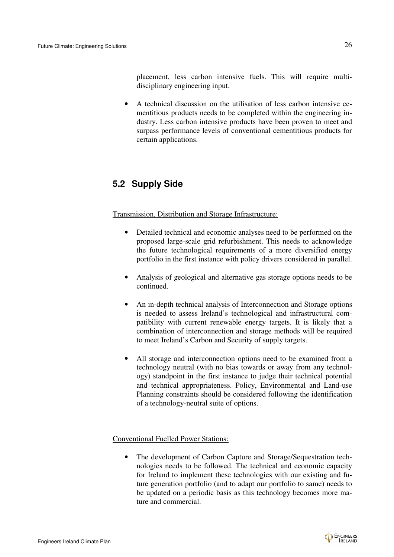placement, less carbon intensive fuels. This will require multidisciplinary engineering input.

• A technical discussion on the utilisation of less carbon intensive cementitious products needs to be completed within the engineering industry. Less carbon intensive products have been proven to meet and surpass performance levels of conventional cementitious products for certain applications.

# **5.2 Supply Side**

Transmission, Distribution and Storage Infrastructure:

- Detailed technical and economic analyses need to be performed on the proposed large-scale grid refurbishment. This needs to acknowledge the future technological requirements of a more diversified energy portfolio in the first instance with policy drivers considered in parallel.
- Analysis of geological and alternative gas storage options needs to be continued.
- An in-depth technical analysis of Interconnection and Storage options is needed to assess Ireland's technological and infrastructural compatibility with current renewable energy targets. It is likely that a combination of interconnection and storage methods will be required to meet Ireland's Carbon and Security of supply targets.
- All storage and interconnection options need to be examined from a technology neutral (with no bias towards or away from any technology) standpoint in the first instance to judge their technical potential and technical appropriateness. Policy, Environmental and Land-use Planning constraints should be considered following the identification of a technology-neutral suite of options.

### Conventional Fuelled Power Stations:

• The development of Carbon Capture and Storage/Sequestration technologies needs to be followed. The technical and economic capacity for Ireland to implement these technologies with our existing and future generation portfolio (and to adapt our portfolio to same) needs to be updated on a periodic basis as this technology becomes more mature and commercial.

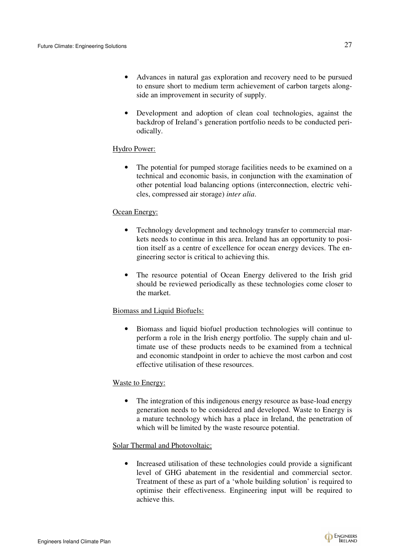- Advances in natural gas exploration and recovery need to be pursued to ensure short to medium term achievement of carbon targets alongside an improvement in security of supply.
- Development and adoption of clean coal technologies, against the backdrop of Ireland's generation portfolio needs to be conducted periodically.

### Hydro Power:

• The potential for pumped storage facilities needs to be examined on a technical and economic basis, in conjunction with the examination of other potential load balancing options (interconnection, electric vehicles, compressed air storage) *inter alia*.

#### Ocean Energy:

- Technology development and technology transfer to commercial markets needs to continue in this area. Ireland has an opportunity to position itself as a centre of excellence for ocean energy devices. The engineering sector is critical to achieving this.
- The resource potential of Ocean Energy delivered to the Irish grid should be reviewed periodically as these technologies come closer to the market.

#### Biomass and Liquid Biofuels:

• Biomass and liquid biofuel production technologies will continue to perform a role in the Irish energy portfolio. The supply chain and ultimate use of these products needs to be examined from a technical and economic standpoint in order to achieve the most carbon and cost effective utilisation of these resources.

#### Waste to Energy:

• The integration of this indigenous energy resource as base-load energy generation needs to be considered and developed. Waste to Energy is a mature technology which has a place in Ireland, the penetration of which will be limited by the waste resource potential.

#### Solar Thermal and Photovoltaic:

• Increased utilisation of these technologies could provide a significant level of GHG abatement in the residential and commercial sector. Treatment of these as part of a 'whole building solution' is required to optimise their effectiveness. Engineering input will be required to achieve this.

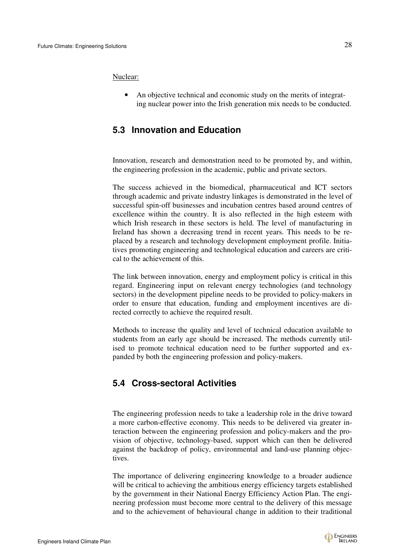Nuclear:

• An objective technical and economic study on the merits of integrating nuclear power into the Irish generation mix needs to be conducted.

# **5.3 Innovation and Education**

Innovation, research and demonstration need to be promoted by, and within, the engineering profession in the academic, public and private sectors.

The success achieved in the biomedical, pharmaceutical and ICT sectors through academic and private industry linkages is demonstrated in the level of successful spin-off businesses and incubation centres based around centres of excellence within the country. It is also reflected in the high esteem with which Irish research in these sectors is held. The level of manufacturing in Ireland has shown a decreasing trend in recent years. This needs to be replaced by a research and technology development employment profile. Initiatives promoting engineering and technological education and careers are critical to the achievement of this.

The link between innovation, energy and employment policy is critical in this regard. Engineering input on relevant energy technologies (and technology sectors) in the development pipeline needs to be provided to policy-makers in order to ensure that education, funding and employment incentives are directed correctly to achieve the required result.

Methods to increase the quality and level of technical education available to students from an early age should be increased. The methods currently utilised to promote technical education need to be further supported and expanded by both the engineering profession and policy-makers.

# **5.4 Cross-sectoral Activities**

The engineering profession needs to take a leadership role in the drive toward a more carbon-effective economy. This needs to be delivered via greater interaction between the engineering profession and policy-makers and the provision of objective, technology-based, support which can then be delivered against the backdrop of policy, environmental and land-use planning objectives.

The importance of delivering engineering knowledge to a broader audience will be critical to achieving the ambitious energy efficiency targets established by the government in their National Energy Efficiency Action Plan. The engineering profession must become more central to the delivery of this message and to the achievement of behavioural change in addition to their traditional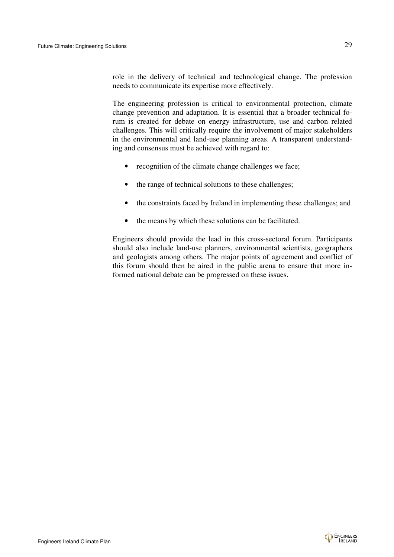role in the delivery of technical and technological change. The profession needs to communicate its expertise more effectively.

The engineering profession is critical to environmental protection, climate change prevention and adaptation. It is essential that a broader technical forum is created for debate on energy infrastructure, use and carbon related challenges. This will critically require the involvement of major stakeholders in the environmental and land-use planning areas. A transparent understanding and consensus must be achieved with regard to:

- recognition of the climate change challenges we face;
- the range of technical solutions to these challenges;
- the constraints faced by Ireland in implementing these challenges; and
- the means by which these solutions can be facilitated.

Engineers should provide the lead in this cross-sectoral forum. Participants should also include land-use planners, environmental scientists, geographers and geologists among others. The major points of agreement and conflict of this forum should then be aired in the public arena to ensure that more informed national debate can be progressed on these issues.

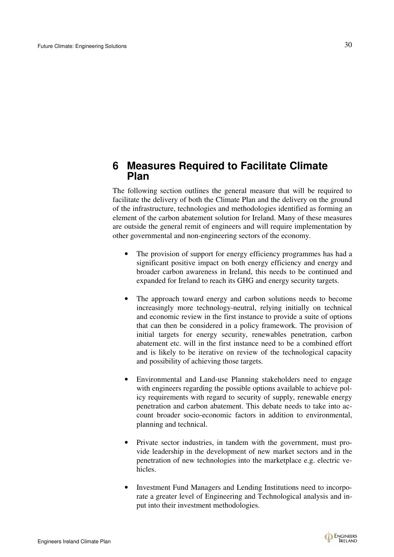# **6 Measures Required to Facilitate Climate Plan**

The following section outlines the general measure that will be required to facilitate the delivery of both the Climate Plan and the delivery on the ground of the infrastructure, technologies and methodologies identified as forming an element of the carbon abatement solution for Ireland. Many of these measures are outside the general remit of engineers and will require implementation by other governmental and non-engineering sectors of the economy.

- The provision of support for energy efficiency programmes has had a significant positive impact on both energy efficiency and energy and broader carbon awareness in Ireland, this needs to be continued and expanded for Ireland to reach its GHG and energy security targets.
- The approach toward energy and carbon solutions needs to become increasingly more technology-neutral, relying initially on technical and economic review in the first instance to provide a suite of options that can then be considered in a policy framework. The provision of initial targets for energy security, renewables penetration, carbon abatement etc. will in the first instance need to be a combined effort and is likely to be iterative on review of the technological capacity and possibility of achieving those targets.
- Environmental and Land-use Planning stakeholders need to engage with engineers regarding the possible options available to achieve policy requirements with regard to security of supply, renewable energy penetration and carbon abatement. This debate needs to take into account broader socio-economic factors in addition to environmental, planning and technical.
- Private sector industries, in tandem with the government, must provide leadership in the development of new market sectors and in the penetration of new technologies into the marketplace e.g. electric vehicles.
- Investment Fund Managers and Lending Institutions need to incorporate a greater level of Engineering and Technological analysis and input into their investment methodologies.

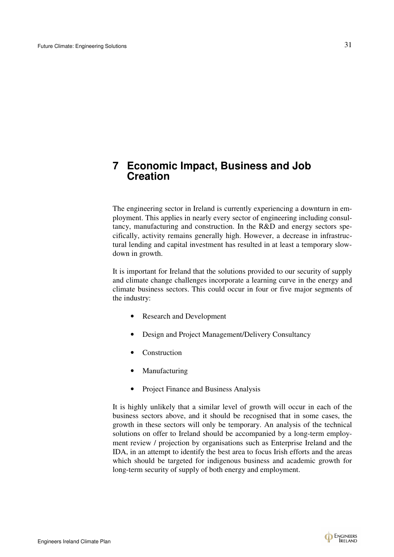# **7 Economic Impact, Business and Job Creation**

The engineering sector in Ireland is currently experiencing a downturn in employment. This applies in nearly every sector of engineering including consultancy, manufacturing and construction. In the R&D and energy sectors specifically, activity remains generally high. However, a decrease in infrastructural lending and capital investment has resulted in at least a temporary slowdown in growth.

It is important for Ireland that the solutions provided to our security of supply and climate change challenges incorporate a learning curve in the energy and climate business sectors. This could occur in four or five major segments of the industry:

- Research and Development
- Design and Project Management/Delivery Consultancy
- Construction
- **Manufacturing**
- Project Finance and Business Analysis

It is highly unlikely that a similar level of growth will occur in each of the business sectors above, and it should be recognised that in some cases, the growth in these sectors will only be temporary. An analysis of the technical solutions on offer to Ireland should be accompanied by a long-term employment review / projection by organisations such as Enterprise Ireland and the IDA, in an attempt to identify the best area to focus Irish efforts and the areas which should be targeted for indigenous business and academic growth for long-term security of supply of both energy and employment.